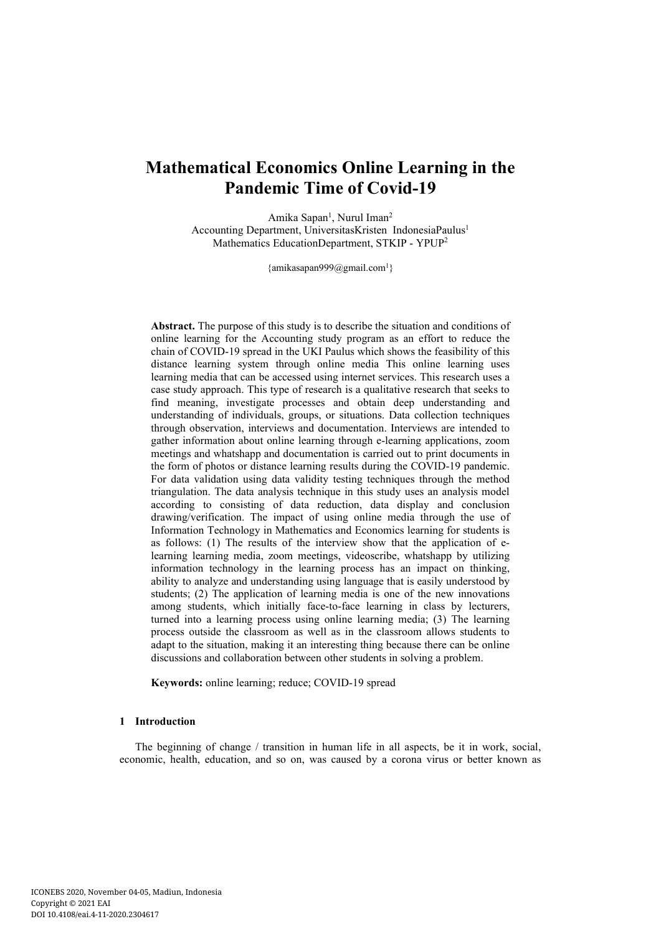# **Mathematical Economics Online Learning in the Pandemic Time of Covid-19**

Amika Sapan<sup>1</sup>, Nurul Iman<sup>2</sup> Accounting Department, UniversitasKristen IndonesiaPaulus<sup>1</sup> Mathematics EducationDepartment, STKIP - YPUP<sup>2</sup>

 $\{\text{amikasapan999@gmail.com}^1\}$ 

**Abstract.** The purpose of this study is to describe the situation and conditions of online learning for the Accounting study program as an effort to reduce the chain of COVID-19 spread in the UKI Paulus which shows the feasibility of this distance learning system through online media This online learning uses learning media that can be accessed using internet services. This research uses a case study approach. This type of research is a qualitative research that seeks to find meaning, investigate processes and obtain deep understanding and understanding of individuals, groups, or situations. Data collection techniques through observation, interviews and documentation. Interviews are intended to gather information about online learning through e-learning applications, zoom meetings and whatshapp and documentation is carried out to print documents in the form of photos or distance learning results during the COVID-19 pandemic. For data validation using data validity testing techniques through the method triangulation. The data analysis technique in this study uses an analysis model according to consisting of data reduction, data display and conclusion drawing/verification. The impact of using online media through the use of Information Technology in Mathematics and Economics learning for students is as follows: (1) The results of the interview show that the application of elearning learning media, zoom meetings, videoscribe, whatshapp by utilizing information technology in the learning process has an impact on thinking, ability to analyze and understanding using language that is easily understood by students; (2) The application of learning media is one of the new innovations among students, which initially face-to-face learning in class by lecturers, turned into a learning process using online learning media; (3) The learning process outside the classroom as well as in the classroom allows students to adapt to the situation, making it an interesting thing because there can be online discussions and collaboration between other students in solving a problem.

**Keywords:** online learning; reduce; COVID-19 spread

## **1 Introduction**

The beginning of change / transition in human life in all aspects, be it in work, social, economic, health, education, and so on, was caused by a corona virus or better known as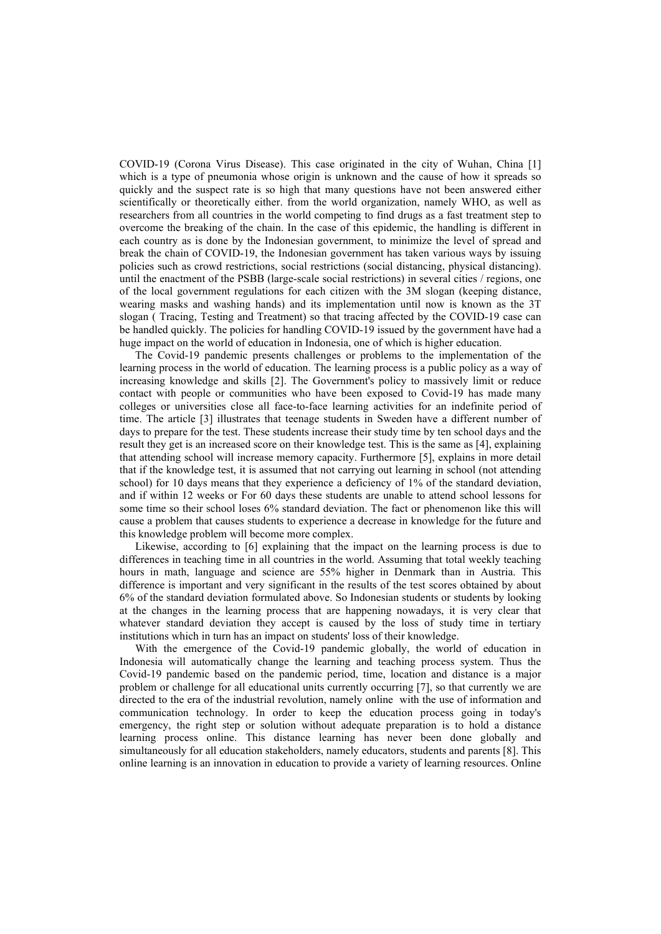COVID-19 (Corona Virus Disease). This case originated in the city of Wuhan, China [1] which is a type of pneumonia whose origin is unknown and the cause of how it spreads so quickly and the suspect rate is so high that many questions have not been answered either scientifically or theoretically either. from the world organization, namely WHO, as well as researchers from all countries in the world competing to find drugs as a fast treatment step to overcome the breaking of the chain. In the case of this epidemic, the handling is different in each country as is done by the Indonesian government, to minimize the level of spread and break the chain of COVID-19, the Indonesian government has taken various ways by issuing policies such as crowd restrictions, social restrictions (social distancing, physical distancing). until the enactment of the PSBB (large-scale social restrictions) in several cities / regions, one of the local government regulations for each citizen with the 3M slogan (keeping distance, wearing masks and washing hands) and its implementation until now is known as the 3T slogan ( Tracing, Testing and Treatment) so that tracing affected by the COVID-19 case can be handled quickly. The policies for handling COVID-19 issued by the government have had a huge impact on the world of education in Indonesia, one of which is higher education.

The Covid-19 pandemic presents challenges or problems to the implementation of the learning process in the world of education. The learning process is a public policy as a way of increasing knowledge and skills [2]. The Government's policy to massively limit or reduce contact with people or communities who have been exposed to Covid-19 has made many colleges or universities close all face-to-face learning activities for an indefinite period of time. The article [3] illustrates that teenage students in Sweden have a different number of days to prepare for the test. These students increase their study time by ten school days and the result they get is an increased score on their knowledge test. This is the same as [4], explaining that attending school will increase memory capacity. Furthermore [5], explains in more detail that if the knowledge test, it is assumed that not carrying out learning in school (not attending school) for 10 days means that they experience a deficiency of 1% of the standard deviation, and if within 12 weeks or For 60 days these students are unable to attend school lessons for some time so their school loses 6% standard deviation. The fact or phenomenon like this will cause a problem that causes students to experience a decrease in knowledge for the future and this knowledge problem will become more complex.

Likewise, according to [6] explaining that the impact on the learning process is due to differences in teaching time in all countries in the world. Assuming that total weekly teaching hours in math, language and science are 55% higher in Denmark than in Austria. This difference is important and very significant in the results of the test scores obtained by about 6% of the standard deviation formulated above. So Indonesian students or students by looking at the changes in the learning process that are happening nowadays, it is very clear that whatever standard deviation they accept is caused by the loss of study time in tertiary institutions which in turn has an impact on students' loss of their knowledge.

With the emergence of the Covid-19 pandemic globally, the world of education in Indonesia will automatically change the learning and teaching process system. Thus the Covid-19 pandemic based on the pandemic period, time, location and distance is a major problem or challenge for all educational units currently occurring [7], so that currently we are directed to the era of the industrial revolution, namely online with the use of information and communication technology. In order to keep the education process going in today's emergency, the right step or solution without adequate preparation is to hold a distance learning process online. This distance learning has never been done globally and simultaneously for all education stakeholders, namely educators, students and parents [8]. This online learning is an innovation in education to provide a variety of learning resources. Online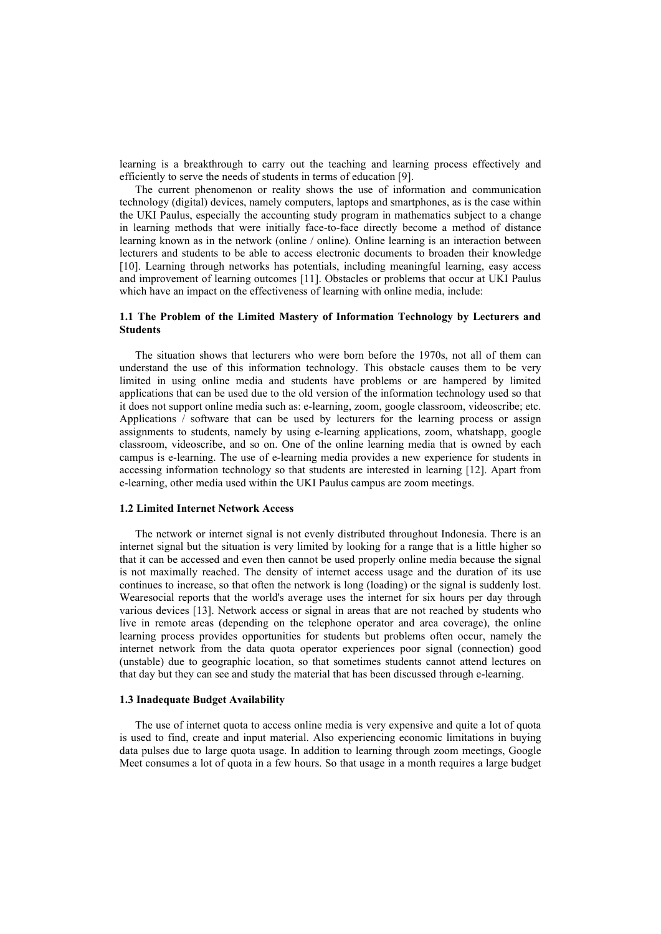learning is a breakthrough to carry out the teaching and learning process effectively and efficiently to serve the needs of students in terms of education [9].

The current phenomenon or reality shows the use of information and communication technology (digital) devices, namely computers, laptops and smartphones, as is the case within the UKI Paulus, especially the accounting study program in mathematics subject to a change in learning methods that were initially face-to-face directly become a method of distance learning known as in the network (online / online). Online learning is an interaction between lecturers and students to be able to access electronic documents to broaden their knowledge [10]. Learning through networks has potentials, including meaningful learning, easy access and improvement of learning outcomes [11]. Obstacles or problems that occur at UKI Paulus which have an impact on the effectiveness of learning with online media, include:

### **1.1 The Problem of the Limited Mastery of Information Technology by Lecturers and Students**

The situation shows that lecturers who were born before the 1970s, not all of them can understand the use of this information technology. This obstacle causes them to be very limited in using online media and students have problems or are hampered by limited applications that can be used due to the old version of the information technology used so that it does not support online media such as: e-learning, zoom, google classroom, videoscribe; etc. Applications / software that can be used by lecturers for the learning process or assign assignments to students, namely by using e-learning applications, zoom, whatshapp, google classroom, videoscribe, and so on. One of the online learning media that is owned by each campus is e-learning. The use of e-learning media provides a new experience for students in accessing information technology so that students are interested in learning [12]. Apart from e-learning, other media used within the UKI Paulus campus are zoom meetings.

## **1.2 Limited Internet Network Access**

The network or internet signal is not evenly distributed throughout Indonesia. There is an internet signal but the situation is very limited by looking for a range that is a little higher so that it can be accessed and even then cannot be used properly online media because the signal is not maximally reached. The density of internet access usage and the duration of its use continues to increase, so that often the network is long (loading) or the signal is suddenly lost. Wearesocial reports that the world's average uses the internet for six hours per day through various devices [13]. Network access or signal in areas that are not reached by students who live in remote areas (depending on the telephone operator and area coverage), the online learning process provides opportunities for students but problems often occur, namely the internet network from the data quota operator experiences poor signal (connection) good (unstable) due to geographic location, so that sometimes students cannot attend lectures on that day but they can see and study the material that has been discussed through e-learning.

#### **1.3 Inadequate Budget Availability**

The use of internet quota to access online media is very expensive and quite a lot of quota is used to find, create and input material. Also experiencing economic limitations in buying data pulses due to large quota usage. In addition to learning through zoom meetings, Google Meet consumes a lot of quota in a few hours. So that usage in a month requires a large budget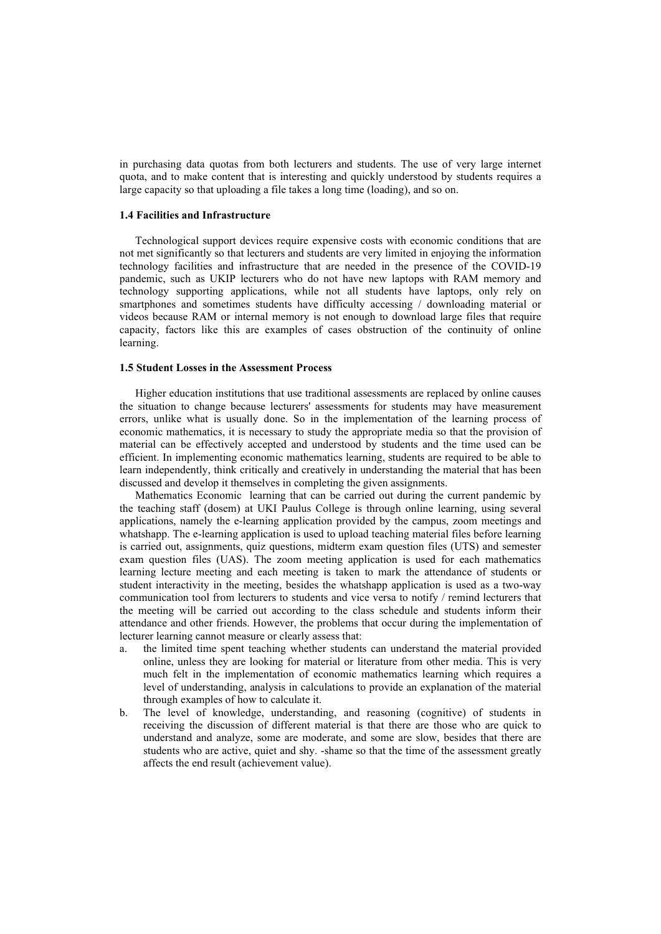in purchasing data quotas from both lecturers and students. The use of very large internet quota, and to make content that is interesting and quickly understood by students requires a large capacity so that uploading a file takes a long time (loading), and so on.

## **1.4 Facilities and Infrastructure**

Technological support devices require expensive costs with economic conditions that are not met significantly so that lecturers and students are very limited in enjoying the information technology facilities and infrastructure that are needed in the presence of the COVID-19 pandemic, such as UKIP lecturers who do not have new laptops with RAM memory and technology supporting applications, while not all students have laptops, only rely on smartphones and sometimes students have difficulty accessing / downloading material or videos because RAM or internal memory is not enough to download large files that require capacity, factors like this are examples of cases obstruction of the continuity of online learning.

#### **1.5 Student Losses in the Assessment Process**

Higher education institutions that use traditional assessments are replaced by online causes the situation to change because lecturers' assessments for students may have measurement errors, unlike what is usually done. So in the implementation of the learning process of economic mathematics, it is necessary to study the appropriate media so that the provision of material can be effectively accepted and understood by students and the time used can be efficient. In implementing economic mathematics learning, students are required to be able to learn independently, think critically and creatively in understanding the material that has been discussed and develop it themselves in completing the given assignments.

Mathematics Economic learning that can be carried out during the current pandemic by the teaching staff (dosem) at UKI Paulus College is through online learning, using several applications, namely the e-learning application provided by the campus, zoom meetings and whatshapp. The e-learning application is used to upload teaching material files before learning is carried out, assignments, quiz questions, midterm exam question files (UTS) and semester exam question files (UAS). The zoom meeting application is used for each mathematics learning lecture meeting and each meeting is taken to mark the attendance of students or student interactivity in the meeting, besides the whatshapp application is used as a two-way communication tool from lecturers to students and vice versa to notify / remind lecturers that the meeting will be carried out according to the class schedule and students inform their attendance and other friends. However, the problems that occur during the implementation of lecturer learning cannot measure or clearly assess that:

- a. the limited time spent teaching whether students can understand the material provided online, unless they are looking for material or literature from other media. This is very much felt in the implementation of economic mathematics learning which requires a level of understanding, analysis in calculations to provide an explanation of the material through examples of how to calculate it.
- b. The level of knowledge, understanding, and reasoning (cognitive) of students in receiving the discussion of different material is that there are those who are quick to understand and analyze, some are moderate, and some are slow, besides that there are students who are active, quiet and shy. -shame so that the time of the assessment greatly affects the end result (achievement value).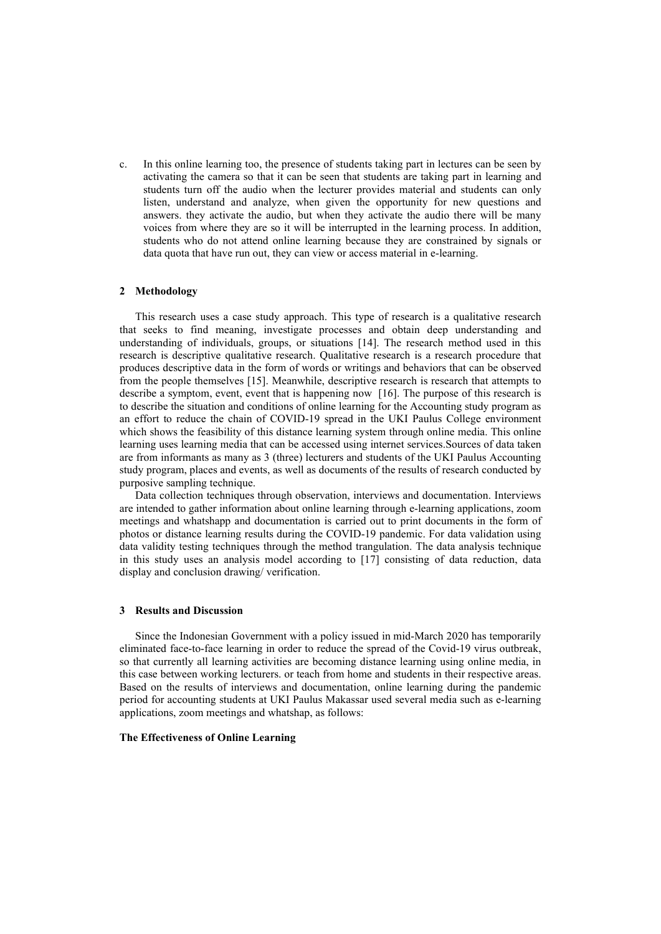c. In this online learning too, the presence of students taking part in lectures can be seen by activating the camera so that it can be seen that students are taking part in learning and students turn off the audio when the lecturer provides material and students can only listen, understand and analyze, when given the opportunity for new questions and answers. they activate the audio, but when they activate the audio there will be many voices from where they are so it will be interrupted in the learning process. In addition, students who do not attend online learning because they are constrained by signals or data quota that have run out, they can view or access material in e-learning.

#### **2 Methodology**

This research uses a case study approach. This type of research is a qualitative research that seeks to find meaning, investigate processes and obtain deep understanding and understanding of individuals, groups, or situations [14]. The research method used in this research is descriptive qualitative research. Qualitative research is a research procedure that produces descriptive data in the form of words or writings and behaviors that can be observed from the people themselves [15]. Meanwhile, descriptive research is research that attempts to describe a symptom, event, event that is happening now [16]. The purpose of this research is to describe the situation and conditions of online learning for the Accounting study program as an effort to reduce the chain of COVID-19 spread in the UKI Paulus College environment which shows the feasibility of this distance learning system through online media. This online learning uses learning media that can be accessed using internet services.Sources of data taken are from informants as many as 3 (three) lecturers and students of the UKI Paulus Accounting study program, places and events, as well as documents of the results of research conducted by purposive sampling technique.

Data collection techniques through observation, interviews and documentation. Interviews are intended to gather information about online learning through e-learning applications, zoom meetings and whatshapp and documentation is carried out to print documents in the form of photos or distance learning results during the COVID-19 pandemic. For data validation using data validity testing techniques through the method trangulation. The data analysis technique in this study uses an analysis model according to [17] consisting of data reduction, data display and conclusion drawing/ verification.

#### **3 Results and Discussion**

Since the Indonesian Government with a policy issued in mid-March 2020 has temporarily eliminated face-to-face learning in order to reduce the spread of the Covid-19 virus outbreak, so that currently all learning activities are becoming distance learning using online media, in this case between working lecturers. or teach from home and students in their respective areas. Based on the results of interviews and documentation, online learning during the pandemic period for accounting students at UKI Paulus Makassar used several media such as e-learning applications, zoom meetings and whatshap, as follows:

## **The Effectiveness of Online Learning**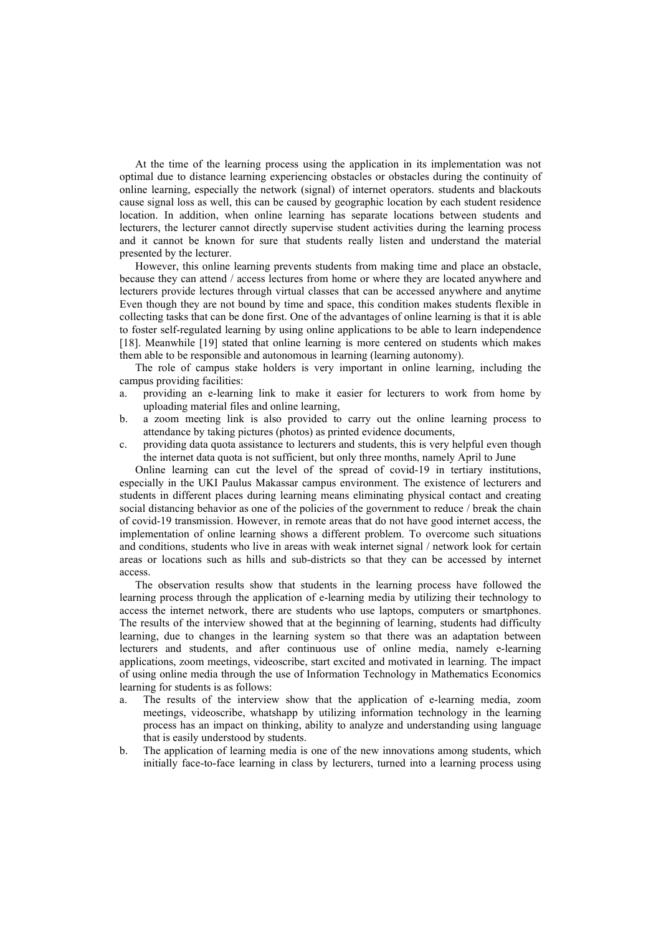At the time of the learning process using the application in its implementation was not optimal due to distance learning experiencing obstacles or obstacles during the continuity of online learning, especially the network (signal) of internet operators. students and blackouts cause signal loss as well, this can be caused by geographic location by each student residence location. In addition, when online learning has separate locations between students and lecturers, the lecturer cannot directly supervise student activities during the learning process and it cannot be known for sure that students really listen and understand the material presented by the lecturer.

However, this online learning prevents students from making time and place an obstacle, because they can attend / access lectures from home or where they are located anywhere and lecturers provide lectures through virtual classes that can be accessed anywhere and anytime Even though they are not bound by time and space, this condition makes students flexible in collecting tasks that can be done first. One of the advantages of online learning is that it is able to foster self-regulated learning by using online applications to be able to learn independence [18]. Meanwhile [19] stated that online learning is more centered on students which makes them able to be responsible and autonomous in learning (learning autonomy).

The role of campus stake holders is very important in online learning, including the campus providing facilities:

- a. providing an e-learning link to make it easier for lecturers to work from home by uploading material files and online learning,
- b. a zoom meeting link is also provided to carry out the online learning process to attendance by taking pictures (photos) as printed evidence documents,
- c. providing data quota assistance to lecturers and students, this is very helpful even though the internet data quota is not sufficient, but only three months, namely April to June

Online learning can cut the level of the spread of covid-19 in tertiary institutions, especially in the UKI Paulus Makassar campus environment. The existence of lecturers and students in different places during learning means eliminating physical contact and creating social distancing behavior as one of the policies of the government to reduce / break the chain of covid-19 transmission. However, in remote areas that do not have good internet access, the implementation of online learning shows a different problem. To overcome such situations and conditions, students who live in areas with weak internet signal / network look for certain areas or locations such as hills and sub-districts so that they can be accessed by internet access.

The observation results show that students in the learning process have followed the learning process through the application of e-learning media by utilizing their technology to access the internet network, there are students who use laptops, computers or smartphones. The results of the interview showed that at the beginning of learning, students had difficulty learning, due to changes in the learning system so that there was an adaptation between lecturers and students, and after continuous use of online media, namely e-learning applications, zoom meetings, videoscribe, start excited and motivated in learning. The impact of using online media through the use of Information Technology in Mathematics Economics learning for students is as follows:

- a. The results of the interview show that the application of e-learning media, zoom meetings, videoscribe, whatshapp by utilizing information technology in the learning process has an impact on thinking, ability to analyze and understanding using language that is easily understood by students.
- b. The application of learning media is one of the new innovations among students, which initially face-to-face learning in class by lecturers, turned into a learning process using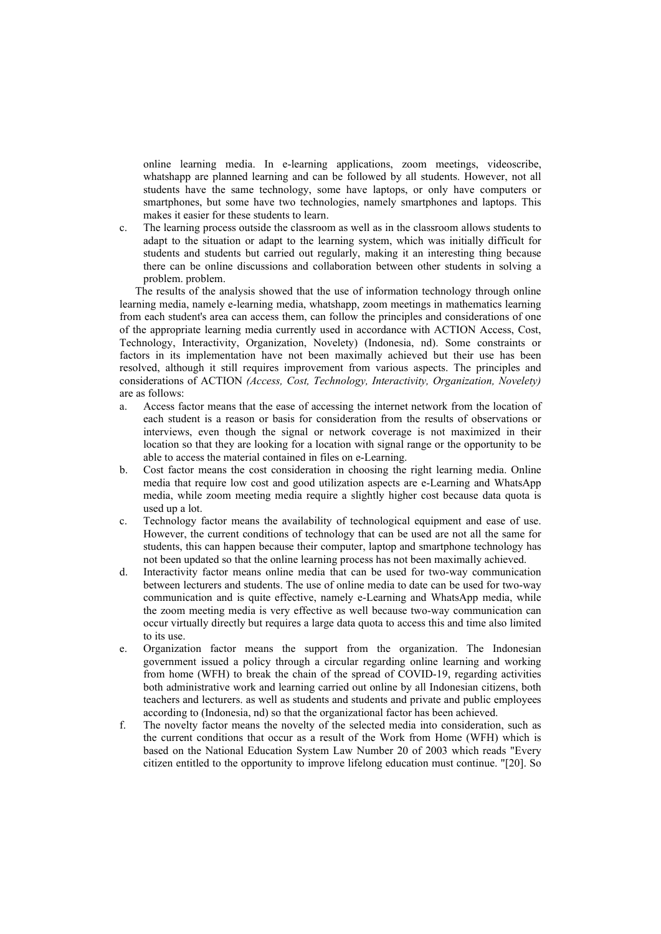online learning media. In e-learning applications, zoom meetings, videoscribe, whatshapp are planned learning and can be followed by all students. However, not all students have the same technology, some have laptops, or only have computers or smartphones, but some have two technologies, namely smartphones and laptops. This makes it easier for these students to learn.

c. The learning process outside the classroom as well as in the classroom allows students to adapt to the situation or adapt to the learning system, which was initially difficult for students and students but carried out regularly, making it an interesting thing because there can be online discussions and collaboration between other students in solving a problem. problem.

The results of the analysis showed that the use of information technology through online learning media, namely e-learning media, whatshapp, zoom meetings in mathematics learning from each student's area can access them, can follow the principles and considerations of one of the appropriate learning media currently used in accordance with ACTION Access, Cost, Technology, Interactivity, Organization, Novelety) (Indonesia, nd). Some constraints or factors in its implementation have not been maximally achieved but their use has been resolved, although it still requires improvement from various aspects. The principles and considerations of ACTION *(Access, Cost, Technology, Interactivity, Organization, Novelety)* are as follows:

- a. Access factor means that the ease of accessing the internet network from the location of each student is a reason or basis for consideration from the results of observations or interviews, even though the signal or network coverage is not maximized in their location so that they are looking for a location with signal range or the opportunity to be able to access the material contained in files on e-Learning.
- b. Cost factor means the cost consideration in choosing the right learning media. Online media that require low cost and good utilization aspects are e-Learning and WhatsApp media, while zoom meeting media require a slightly higher cost because data quota is used up a lot.
- c. Technology factor means the availability of technological equipment and ease of use. However, the current conditions of technology that can be used are not all the same for students, this can happen because their computer, laptop and smartphone technology has not been updated so that the online learning process has not been maximally achieved.
- d. Interactivity factor means online media that can be used for two-way communication between lecturers and students. The use of online media to date can be used for two-way communication and is quite effective, namely e-Learning and WhatsApp media, while the zoom meeting media is very effective as well because two-way communication can occur virtually directly but requires a large data quota to access this and time also limited to its use.
- e. Organization factor means the support from the organization. The Indonesian government issued a policy through a circular regarding online learning and working from home (WFH) to break the chain of the spread of COVID-19, regarding activities both administrative work and learning carried out online by all Indonesian citizens, both teachers and lecturers. as well as students and students and private and public employees according to (Indonesia, nd) so that the organizational factor has been achieved.
- f. The novelty factor means the novelty of the selected media into consideration, such as the current conditions that occur as a result of the Work from Home (WFH) which is based on the National Education System Law Number 20 of 2003 which reads "Every citizen entitled to the opportunity to improve lifelong education must continue. "[20]. So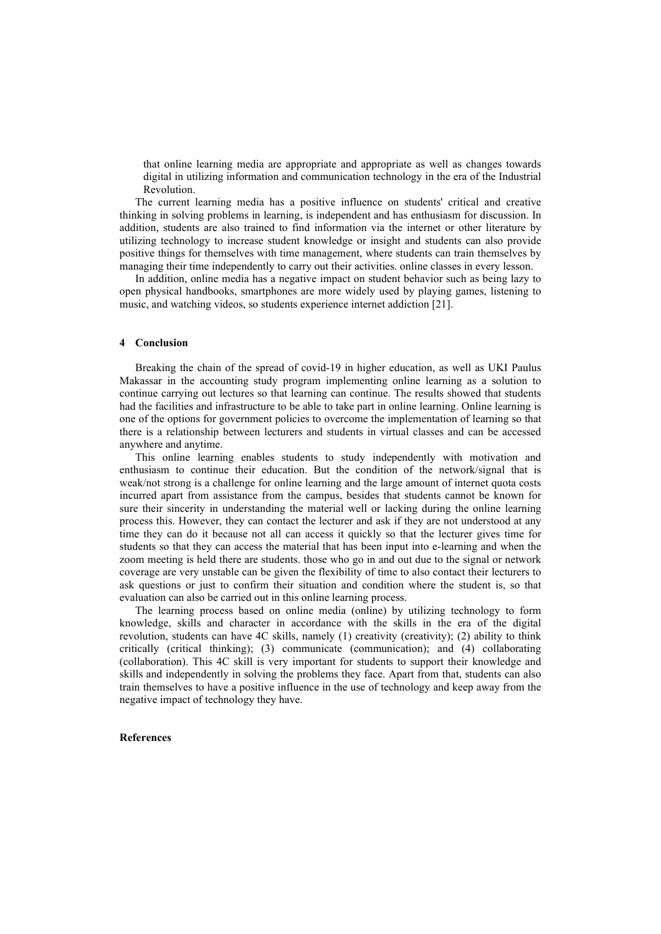that online learning media are appropriate and appropriate as well as changes towards digital in utilizing information and communication technology in the era of the Industrial Revolution.

The current learning media has a positive influence on students' critical and creative thinking in solving problems in learning, is independent and has enthusiasm for discussion. In addition, students are also trained to find information via the internet or other literature by utilizing technology to increase student knowledge or insight and students can also provide positive things for themselves with time management, where students can train themselves by managing their time independently to carry out their activities. online classes in every lesson.

In addition, online media has a negative impact on student behavior such as being lazy to open physical handbooks, smartphones are more widely used by playing games, listening to music, and watching videos, so students experience internet addiction [21].

#### **4 Conclusion**

Breaking the chain of the spread of covid-19 in higher education, as well as UKI Paulus Makassar in the accounting study program implementing online learning as a solution to continue carrying out lectures so that learning can continue. The results showed that students had the facilities and infrastructure to be able to take part in online learning. Online learning is one of the options for government policies to overcome the implementation of learning so that there is a relationship between lecturers and students in virtual classes and can be accessed anywhere and anytime.

This online learning enables students to study independently with motivation and enthusiasm to continue their education. But the condition of the network/signal that is weak/not strong is a challenge for online learning and the large amount of internet quota costs incurred apart from assistance from the campus, besides that students cannot be known for sure their sincerity in understanding the material well or lacking during the online learning process this. However, they can contact the lecturer and ask if they are not understood at any time they can do it because not all can access it quickly so that the lecturer gives time for students so that they can access the material that has been input into e-learning and when the zoom meeting is held there are students. those who go in and out due to the signal or network coverage are very unstable can be given the flexibility of time to also contact their lecturers to ask questions or just to confirm their situation and condition where the student is, so that evaluation can also be carried out in this online learning process.

The learning process based on online media (online) by utilizing technology to form knowledge, skills and character in accordance with the skills in the era of the digital revolution, students can have 4C skills, namely (1) creativity (creativity); (2) ability to think critically (critical thinking); (3) communicate (communication); and (4) collaborating (collaboration). This 4C skill is very important for students to support their knowledge and skills and independently in solving the problems they face. Apart from that, students can also train themselves to have a positive influence in the use of technology and keep away from the negative impact of technology they have.

#### **References**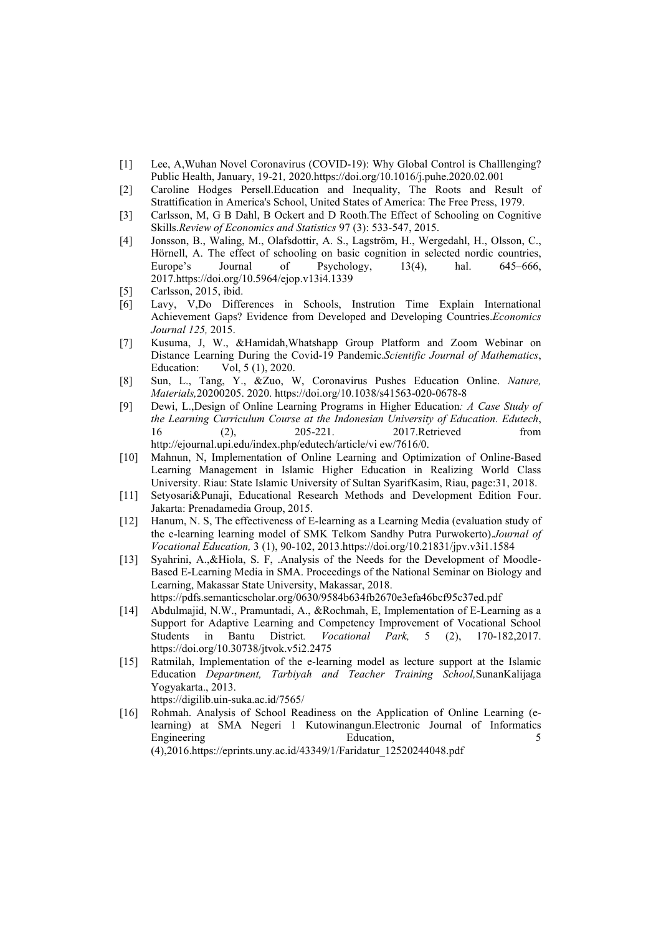- [1] Lee, A,Wuhan Novel Coronavirus (COVID-19): Why Global Control is Challlenging? Public Health, January, 19-21*,* 2020.https://doi.org/10.1016/j.puhe.2020.02.001
- [2] Caroline Hodges Persell.Education and Inequality, The Roots and Result of Strattification in America's School, United States of America: The Free Press, 1979.
- [3] Carlsson, M, G B Dahl, B Ockert and D Rooth.The Effect of Schooling on Cognitive Skills.*Review of Economics and Statistics* 97 (3): 533-547, 2015.
- [4] Jonsson, B., Waling, M., Olafsdottir, A. S., Lagström, H., Wergedahl, H., Olsson, C., Hörnell, A. The effect of schooling on basic cognition in selected nordic countries, Europe's Journal of Psychology, 13(4), hal. 645–666, 2017.https://doi.org/10.5964/ejop.v13i4.1339
- [5] Carlsson, 2015, ibid.
- [6] Lavy, V,Do Differences in Schools, Instrution Time Explain International Achievement Gaps? Evidence from Developed and Developing Countries.*Economics Journal 125,* 2015.
- [7] Kusuma, J, W., &Hamidah,Whatshapp Group Platform and Zoom Webinar on Distance Learning During the Covid-19 Pandemic.*Scientific Journal of Mathematics*, Education: Vol, 5 (1), 2020.
- [8] Sun, L., Tang, Y., &Zuo, W, Coronavirus Pushes Education Online. *Nature, Materials,*20200205. 2020. https://doi.org/10.1038/s41563-020-0678-8
- [9] Dewi, L.,Design of Online Learning Programs in Higher Education*: A Case Study of the Learning Curriculum Course at the Indonesian University of Education. Edutech*, 16 (2), 205-221. 2017.Retrieved from http://ejournal.upi.edu/index.php/edutech/article/vi ew/7616/0.
- [10] Mahnun, N, Implementation of Online Learning and Optimization of Online-Based Learning Management in Islamic Higher Education in Realizing World Class University. Riau: State Islamic University of Sultan SyarifKasim, Riau, page:31, 2018.
- [11] Setyosari&Punaji, Educational Research Methods and Development Edition Four. Jakarta: Prenadamedia Group, 2015.
- [12] Hanum, N. S, The effectiveness of E-learning as a Learning Media (evaluation study of the e-learning learning model of SMK Telkom Sandhy Putra Purwokerto).*Journal of Vocational Education,* 3 (1), 90-102, 2013.https://doi.org/10.21831/jpv.v3i1.1584
- [13] Syahrini, A.,&Hiola, S. F, .Analysis of the Needs for the Development of Moodle-Based E-Learning Media in SMA. Proceedings of the National Seminar on Biology and Learning, Makassar State University, Makassar, 2018. https://pdfs.semanticscholar.org/0630/9584b634fb2670e3efa46bcf95c37ed.pdf
- [14] Abdulmajid, N.W., Pramuntadi, A., &Rochmah, E, Implementation of E-Learning as a Support for Adaptive Learning and Competency Improvement of Vocational School Students in Bantu District*. Vocational Park,* 5 (2), 170-182,2017. https://doi.org/10.30738/jtvok.v5i2.2475
- [15] Ratmilah, Implementation of the e-learning model as lecture support at the Islamic Education *Department, Tarbiyah and Teacher Training School,*SunanKalijaga Yogyakarta., 2013. https://digilib.uin-suka.ac.id/7565/
- [16] Rohmah. Analysis of School Readiness on the Application of Online Learning (elearning) at SMA Negeri 1 Kutowinangun.Electronic Journal of Informatics Engineering 5 Education, 5 Equation, 5 Equation, 5 Equation, 5 Equation, 5 Equation, 5 Equation, 5 Equation, 5 Equation, 5 Equation, 5 Equation, 5 Equation, 5 Equation, 5 Equation, 5 Equation, 5 Equation, 5 Equation, 5 Equ

(4),2016.https://eprints.uny.ac.id/43349/1/Faridatur\_12520244048.pdf